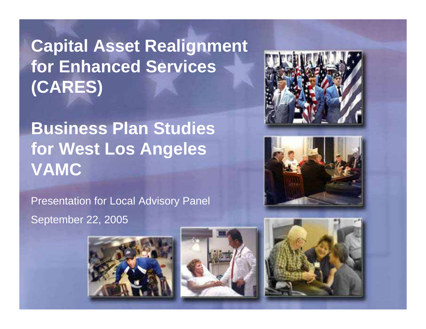# **Capital Asset Realignment for Enhanced Services (CARES)**

# **Business Plan Studies for West Los Angeles VAMC**

Presentation for Local Advisory Panel September 22, 2005









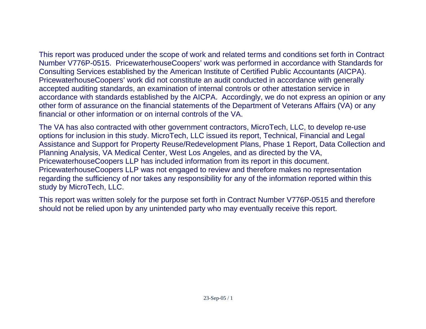This report was produced under the scope of work and related terms and conditions set forth in Contract Number V776P-0515. PricewaterhouseCoopers' work was performed in accordance with Standards for Consulting Services established by the American Institute of Certified Public Accountants (AICPA).

PricewaterhouseCoopers' work did not constitute an audit conducted in accordance with generally accepted auditing standards, an examination of internal controls or other attestation service in accordance with standards established by the AICPA. Accordingly, we do not express an opinion or any other form of assurance on the financial statements of the Department of Veterans Affairs (VA) or any financial or other information or on internal controls of the VA.

The VA has also contracted with other government contractors, MicroTech, LLC, to develop re-use options for inclusion in this study. MicroTech, LLC issued its report, Technical, Financial and Legal Assistance and Support for Property Reuse/Redevelopment Plans, Phase 1 Report, Data Collection and Planning Analysis, VA Medical Center, West Los Angeles, and as directed by the VA, PricewaterhouseCoopers LLP has included information from its report in this document. PricewaterhouseCoopers LLP was not engaged to review and therefore makes no representation regarding the sufficiency of nor takes any responsibility for any of the information reported within this study by MicroTech, LLC.

This report was written solely for the purpose set forth in Contract Number V776P-0515 and therefore should not be relied upon by any unintended party who may eventually receive this report.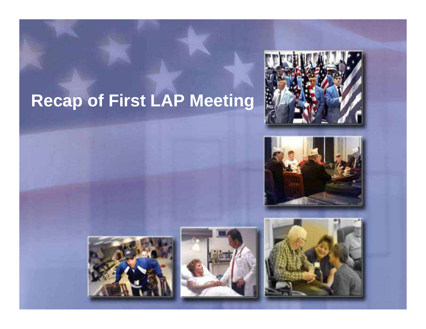# **Recap of First LAP Meeting**









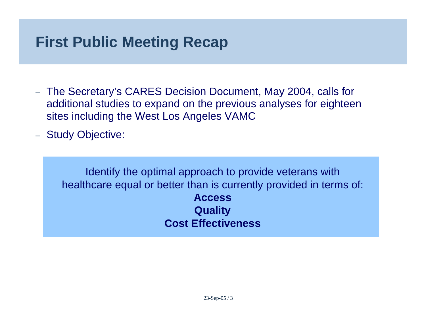### **First Public Meeting Recap**

- – The Secretary's CARES Decision Document, May 2004, calls for additional studies to expand on the previous analyses for eighteen sites including the West Los Angeles VAMC
- –- Study Objective:

Identify the optimal approach to provide veterans with healthcare equal or better than is currently provided in terms of: **AccessQuality Cost Effectiveness**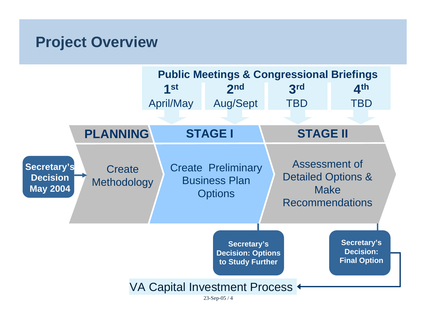#### **Project Overview**

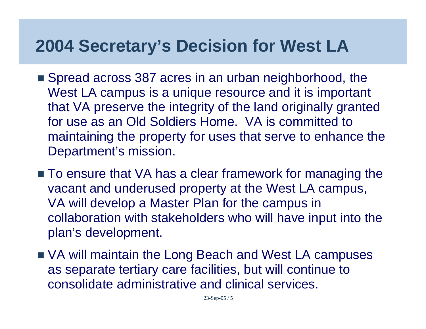# **2004 Secretary's Decision for West LA**

- Spread across 387 acres in an urban neighborhood, the West LA campus is a unique resource and it is important that VA preserve the integrity of the land originally granted for use as an Old Soldiers Home. VA is committed to maintaining the property for uses that serve to enhance the Department's mission.
- To ensure that VA has a clear framework for managing the vacant and underused property at the West LA campus, VA will develop a Master Plan for the campus in collaboration with stakeholders who will have input into the plan's development.
- VA will maintain the Long Beach and West LA campuses as separate tertiary care facilities, but will continue to consolidate administrative and clinical services.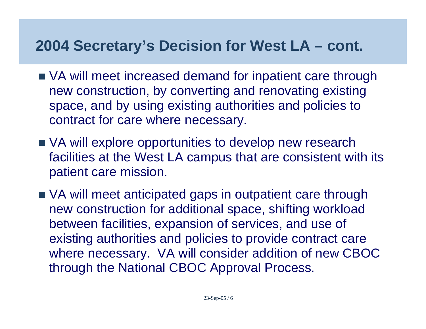### **2004 Secretary's Decision for West LA – cont.**

- VA will meet increased demand for inpatient care through new construction, by converting and renovating existing space, and by using existing authorities and policies to contract for care where necessary.
- VA will explore opportunities to develop new research facilities at the West LA campus that are consistent with its patient care mission.
- VA will meet anticipated gaps in outpatient care through new construction for additional space, shifting workload between facilities, expansion of services, and use of existing authorities and policies to provide contract care where necessary. VA will consider addition of new CBOC through the National CBOC Approval Process.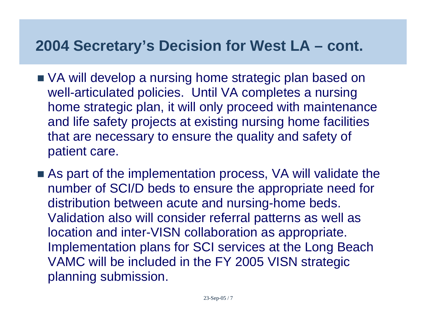### **2004 Secretary's Decision for West LA – cont.**

- VA will develop a nursing home strategic plan based on well-articulated policies. Until VA completes a nursing home strategic plan, it will only proceed with maintenance and life safety projects at existing nursing home facilities that are necessary to ensure the quality and safety of patient care.
- As part of the implementation process, VA will validate the number of SCI/D beds to ensure the appropriate need for distribution between acute and nursing-home beds. Validation also will consider referral patterns as well as location and inter-VISN collaboration as appropriate. Implementation plans for SCI services at the Long Beach VAMC will be included in the FY 2005 VISN strategic planning submission.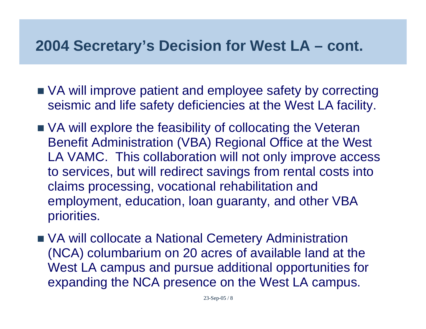### **2004 Secretary's Decision for West LA – cont.**

- VA will improve patient and employee safety by correcting seismic and life safety deficiencies at the West LA facility.
- VA will explore the feasibility of collocating the Veteran Benefit Administration (VBA) Regional Office at the West LA VAMC. This collaboration will not only improve access to services, but will redirect savings from rental costs into claims processing, vocational rehabilitation and employment, education, loan guaranty, and other VBA priorities.
- VA will collocate a National Cemetery Administration (NCA) columbarium on 20 acres of available land at the West LA campus and pursue additional opportunities for expanding the NCA presence on the West LA campus.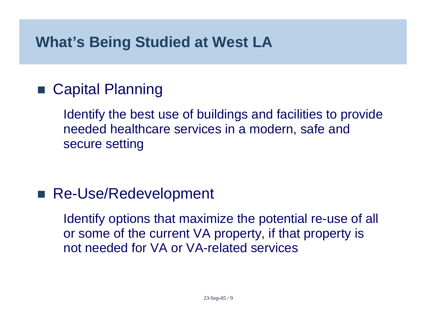### **What's Being Studied at West LA**

#### ■ Capital Planning

Identify the best use of buildings and facilities to provide needed healthcare services in a modern, safe and secure setting

#### ■ Re-Use/Redevelopment

Identify options that maximize the potential re-use of all or some of the current VA property, if that property is not needed for VA or VA-related services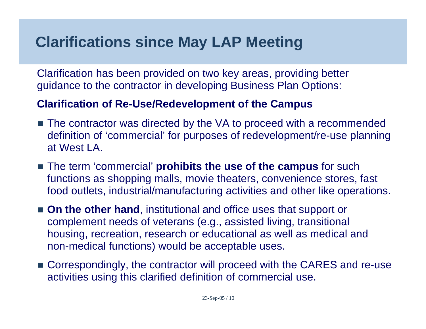### **Clarifications since May LAP Meeting**

Clarification has been provided on two key areas, providing better guidance to the contractor in developing Business Plan Options:

#### **Clarification of Re-Use/Redevelopment of the Campus**

- The contractor was directed by the VA to proceed with a recommended definition of 'commercial' for purposes of redevelopment/re-use planning at West LA.
- The term 'commercial' **prohibits the use of the campus** for such functions as shopping malls, movie theaters, convenience stores, fast food outlets, industrial/manufacturing activities and other like operations.
- **On the other hand**, institutional and office uses that support or complement needs of veterans (e.g., assisted living, transitional housing, recreation, research or educational as well as medical and non-medical functions) would be acceptable uses.
- Correspondingly, the contractor will proceed with the CARES and re-use activities using this clarified definition of commercial use.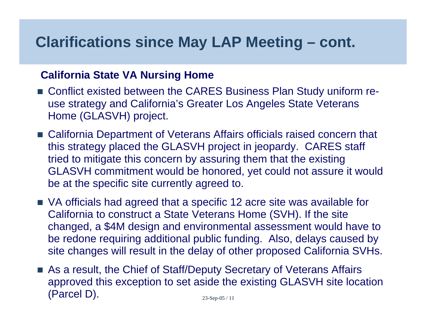#### **Clarifications since May LAP Meeting – cont.**

#### **California State VA Nursing Home**

- Conflict existed between the CARES Business Plan Study uniform reuse strategy and California's Greater Los Angeles State Veterans Home (GLASVH) project.
- California Department of Veterans Affairs officials raised concern that this strategy placed the GLASVH project in jeopardy. CARES staff tried to mitigate this concern by assuring them that the existing GLASVH commitment would be honored, yet could not assure it would be at the specific site currently agreed to.
- VA officials had agreed that a specific 12 acre site was available for California to construct a State Veterans Home (SVH). If the site changed, a \$4M design and environmental assessment would have to be redone requiring additional public funding. Also, delays caused by site changes will result in the delay of other proposed California SVHs.
- 23-Sep-05 / 11 ■ As a result, the Chief of Staff/Deputy Secretary of Veterans Affairs approved this exception to set aside the existing GLASVH site location (Parcel D).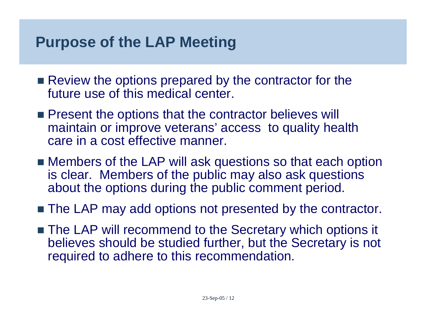#### **Purpose of the LAP Meeting**

- Review the options prepared by the contractor for the future use of this medical center.
- **Present the options that the contractor believes will** maintain or improve veterans' access to quality health care in a cost effective manner.
- Members of the LAP will ask questions so that each option is clear. Members of the public may also ask questions about the options during the public comment period.
- The LAP may add options not presented by the contractor.
- The LAP will recommend to the Secretary which options it believes should be studied further, but the Secretary is not required to adhere to this recommendation.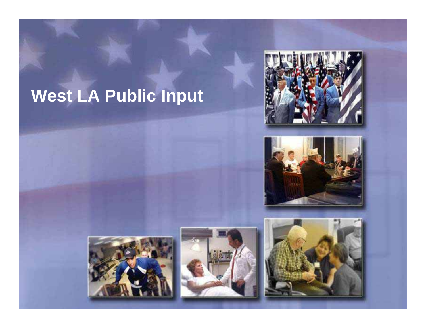# **West LA Public Input**









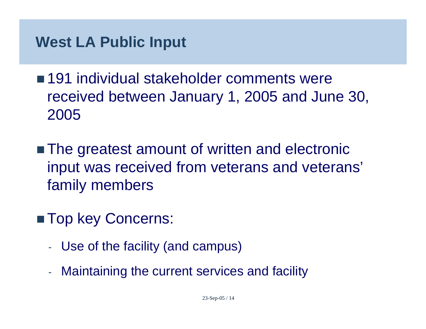- 191 individual stakeholder comments were received between January 1, 2005 and June 30, 2005
- The greatest amount of written and electronic input was received from veterans and veterans' family members
- **Top key Concerns:** 
	- -Use of the facility (and campus)
	- -Maintaining the current services and facility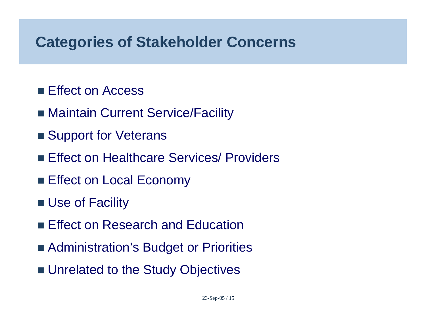#### **Categories of Stakeholder Concerns**

- Effect on Access
- Maintain Current Service/Facility
- Support for Veterans
- **Effect on Healthcare Services/ Providers**
- **Effect on Local Economy**
- **Use of Facility**
- **Effect on Research and Education**
- Administration's Budget or Priorities
- **Unrelated to the Study Objectives**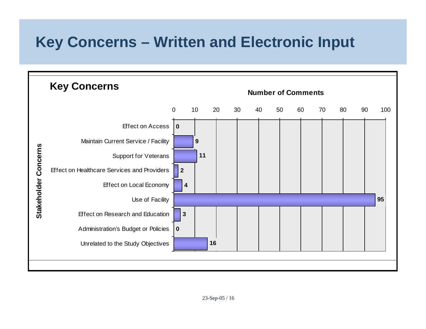### **Key Concerns – Written and Electronic Input**

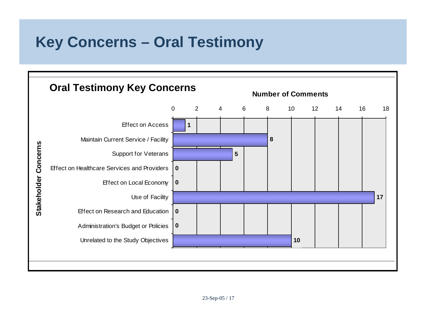### **Key Concerns – Oral Testimony**

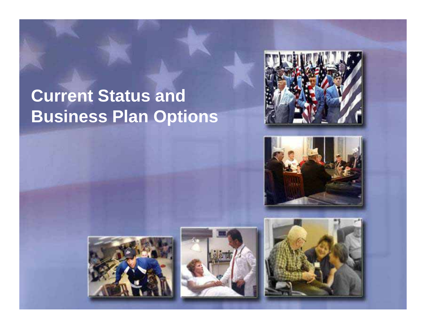# **Current Status and Business Plan Options**









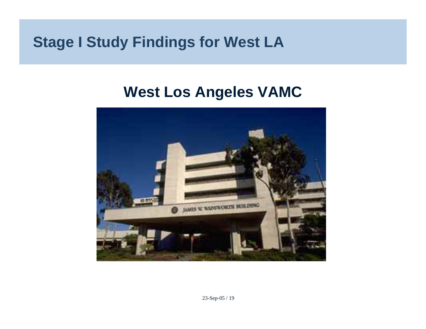#### **Stage I Study Findings for West LA**

#### **West Los Angeles VAMC**

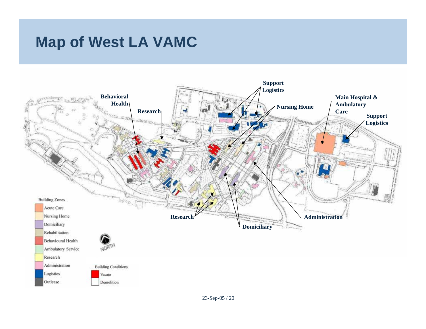### **Map of West LA VAMC**

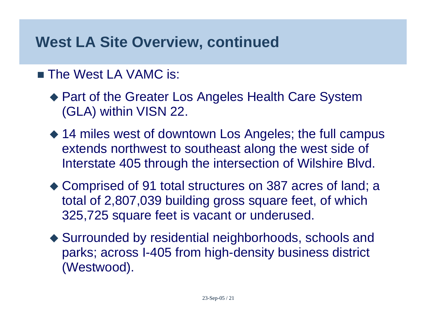#### **West LA Site Overview, continued**

#### ■ The West LA VAMC is:

- ◆ Part of the Greater Los Angeles Health Care System (GLA) within VISN 22.
- ◆ 14 miles west of downtown Los Angeles; the full campus extends northwest to southeast along the west side of Interstate 405 through the intersection of Wilshire Blvd.
- ◆ Comprised of 91 total structures on 387 acres of land; a total of 2,807,039 building gross square feet, of which 325,725 square feet is vacant or underused.
- ◆ Surrounded by residential neighborhoods, schools and parks; across I-405 from high-density business district (Westwood).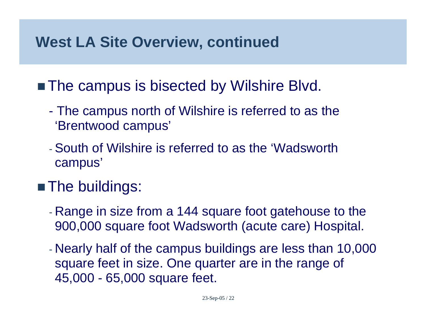#### **West LA Site Overview, continued**

#### ■ The campus is bisected by Wilshire Blvd.

- The campus north of Wilshire is referred to as the 'Brentwood campus'
- South of Wilshire is referred to as the 'Wadsworth campus'

### **The buildings:**

- $\mathcal{L}_{\mathcal{A}}$  Range in size from a 144 square foot gatehouse to the 900,000 square foot Wadsworth (acute care) Hospital.
- $\mathcal{L}_{\mathcal{A}}$  Nearly half of the campus buildings are less than 10,000 square feet in size. One quarter are in the range of 45,000 - 65,000 square feet.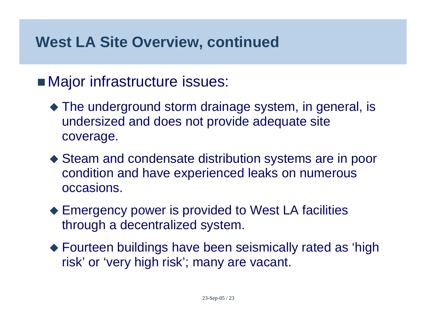#### **West LA Site Overview, continued**

#### **Najor infrastructure issues:**

- The underground storm drainage system, in general, is undersized and does not provide adequate site coverage.
- ◆ Steam and condensate distribution systems are in poor condition and have experienced leaks on numerous occasions.
- ◆ Emergency power is provided to West LA facilities through a decentralized system.
- Fourteen buildings have been seismically rated as 'high risk' or 'very high risk'; many are vacant.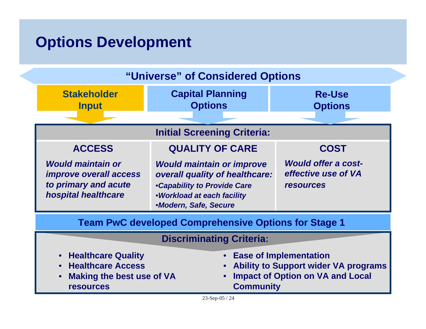#### **Options Development**

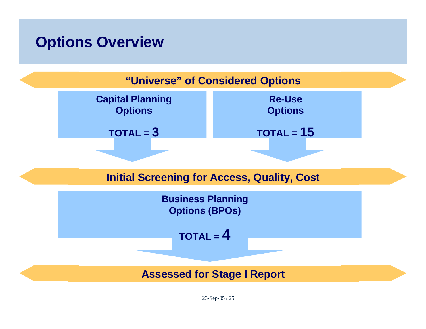#### **Options Overview**



23-Sep-05 / 25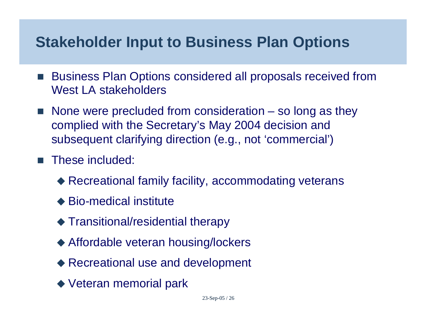#### **Stakeholder Input to Business Plan Options**

- F. Business Plan Options considered all proposals received from West LA stakeholders
- $\blacksquare$  None were precluded from consideration  $-$  so long as they complied with the Secretary's May 2004 decision and subsequent clarifying direction (e.g., not 'commercial')
- F. These included:
	- Recreational family facility, accommodating veterans
	- ◆ Bio-medical institute
	- Transitional/residential therapy
	- Affordable veteran housing/lockers
	- ◆ Recreational use and development
	- ◆ Veteran memorial park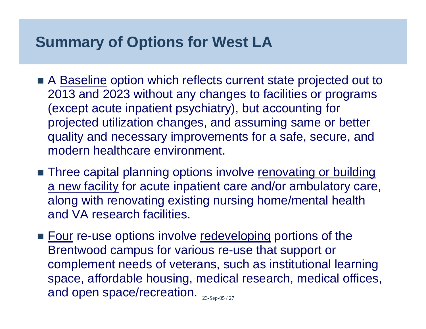### **Summary of Options for West LA**

- A Baseline option which reflects current state projected out to 2013 and 2023 without any changes to facilities or programs (except acute inpatient psychiatry), but accounting for projected utilization changes, and assuming same or better quality and necessary improvements for a safe, secure, and modern healthcare environment.
- **Three capital planning options involve renovating or building** a new facility for acute inpatient care and/or ambulatory care, along with renovating existing nursing home/mental health and VA research facilities.
- and open space/recreation.  $_{\tiny\rm 23-Sep-05/27}$ ■ <u>Four</u> re-use options involve <u>redeveloping</u> portions of the Brentwood campus for various re-use that support or complement needs of veterans, such as institutional learning space, affordable housing, medical research, medical offices,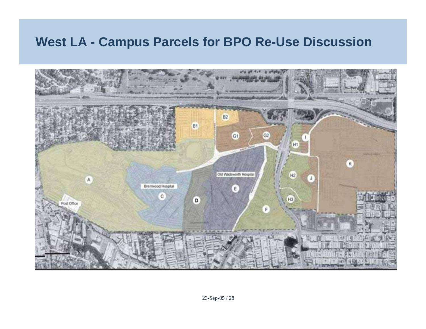#### **West LA - Campus Parcels for BPO Re-Use Discussion**

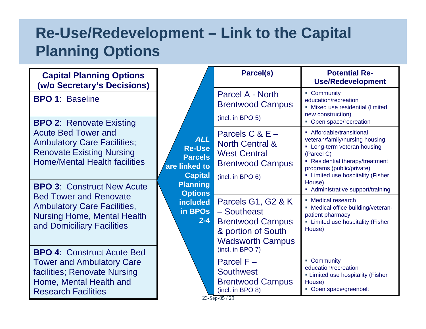### **Re-Use/Redevelopment – Link to the Capital Planning Options**

| <b>Capital Planning Options</b><br>(w/o Secretary's Decisions)                                                                                                                  |                                                                                                                                                                | Parcel(s)                                                                                                             | <b>Potential Re-</b><br><b>Use/Redevelopment</b>                                                                                                                           |                                                                                                                                                                                                                                          |
|---------------------------------------------------------------------------------------------------------------------------------------------------------------------------------|----------------------------------------------------------------------------------------------------------------------------------------------------------------|-----------------------------------------------------------------------------------------------------------------------|----------------------------------------------------------------------------------------------------------------------------------------------------------------------------|------------------------------------------------------------------------------------------------------------------------------------------------------------------------------------------------------------------------------------------|
| <b>BPO 1: Baseline</b>                                                                                                                                                          | <b>ALL</b><br><b>Re-Use</b><br><b>Parcels</b><br>are linked to<br><b>Capital</b><br><b>Planning</b><br><b>Options</b><br><b>included</b><br>in BPOs<br>$2 - 4$ | Parcel A - North<br><b>Brentwood Campus</b>                                                                           | • Community<br>education/recreation<br>• Mixed use residential (limited<br>new construction)                                                                               |                                                                                                                                                                                                                                          |
| <b>BPO 2: Renovate Existing</b><br><b>Acute Bed Tower and</b><br><b>Ambulatory Care Facilities;</b><br><b>Renovate Existing Nursing</b><br><b>Home/Mental Health facilities</b> |                                                                                                                                                                |                                                                                                                       | (incl. in BPO 5)<br>Parcels $C & E -$<br><b>North Central &amp;</b><br><b>West Central</b><br><b>Brentwood Campus</b><br>(incl. in BPO 6)                                  | • Open space/recreation<br>• Affordable/transitional<br>veteran/family/nursing housing<br>• Long-term veteran housing<br>(Parcel C)<br>• Residential therapy/treatment<br>programs (public/private)<br>• Limited use hospitality (Fisher |
| <b>BPO 3: Construct New Acute</b><br><b>Bed Tower and Renovate</b><br><b>Ambulatory Care Facilities,</b><br><b>Nursing Home, Mental Health</b><br>and Domiciliary Facilities    |                                                                                                                                                                | Parcels G1, G2 & K<br>- Southeast<br><b>Brentwood Campus</b><br>& portion of South<br><b>Wadsworth Campus</b>         | House)<br>• Administrative support/training<br>• Medical research<br>• Medical office building/veteran-<br>patient pharmacy<br>• Limited use hospitality (Fisher<br>House) |                                                                                                                                                                                                                                          |
| <b>BPO 4: Construct Acute Bed</b><br><b>Tower and Ambulatory Care</b><br>facilities; Renovate Nursing<br>Home, Mental Health and<br><b>Research Facilities</b>                  |                                                                                                                                                                | (incl. in BPO 7)<br>Parcel $F -$<br><b>Southwest</b><br><b>Brentwood Campus</b><br>(incl. in BPO 8)<br>23-Sep-05 / 29 | • Community<br>education/recreation<br><b>Elmited use hospitality (Fisher</b><br>House)<br>• Open space/greenbelt                                                          |                                                                                                                                                                                                                                          |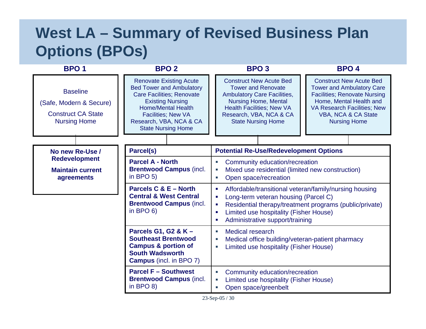### **West LA – Summary of Revised Business Plan Options (BPOs)**

| <b>BPO1</b>                                                                                    | <b>BPO 2</b>                                                                                                                                                                                                                                       | <b>BPO3</b>                                                                                                                                                                                                                  | <b>BPO4</b>                                                                                                                                                                                                              |
|------------------------------------------------------------------------------------------------|----------------------------------------------------------------------------------------------------------------------------------------------------------------------------------------------------------------------------------------------------|------------------------------------------------------------------------------------------------------------------------------------------------------------------------------------------------------------------------------|--------------------------------------------------------------------------------------------------------------------------------------------------------------------------------------------------------------------------|
| <b>Baseline</b><br>(Safe, Modern & Secure)<br><b>Construct CA State</b><br><b>Nursing Home</b> | <b>Renovate Existing Acute</b><br><b>Bed Tower and Ambulatory</b><br><b>Care Facilities; Renovate</b><br><b>Existing Nursing</b><br><b>Home/Mental Health</b><br><b>Facilities; New VA</b><br>Research, VBA, NCA & CA<br><b>State Nursing Home</b> | <b>Construct New Acute Bed</b><br><b>Tower and Renovate</b><br><b>Ambulatory Care Facilities,</b><br><b>Nursing Home, Mental</b><br><b>Health Facilities; New VA</b><br>Research, VBA, NCA & CA<br><b>State Nursing Home</b> | <b>Construct New Acute Bed</b><br><b>Tower and Ambulatory Care</b><br><b>Facilities; Renovate Nursing</b><br>Home, Mental Health and<br><b>VA Research Facilities; New</b><br>VBA, NCA & CA State<br><b>Nursing Home</b> |
| No new Re-Use /                                                                                | Parcel(s)                                                                                                                                                                                                                                          | <b>Potential Re-Use/Redevelopment Options</b>                                                                                                                                                                                |                                                                                                                                                                                                                          |
| <b>Redevelopment</b><br><b>Maintain current</b><br>agreements                                  | <b>Parcel A - North</b><br><b>Brentwood Campus (incl.</b><br>in BPO $5$ )                                                                                                                                                                          | Community education/recreation<br>×.<br>Mixed use residential (limited new construction)<br>×,<br>Open space/recreation<br>п                                                                                                 |                                                                                                                                                                                                                          |
|                                                                                                | Parcels C & E - North<br><b>Central &amp; West Central</b><br><b>Brentwood Campus (incl.</b><br>in BPO $6$ )                                                                                                                                       | Affordable/transitional veteran/family/nursing housing<br>п<br>Long-term veteran housing (Parcel C)<br>п<br>п<br>Limited use hospitality (Fisher House)<br>п<br>Administrative support/training<br>п                         | Residential therapy/treatment programs (public/private)                                                                                                                                                                  |
|                                                                                                | Parcels G1, G2 & K -<br><b>Southeast Brentwood</b><br><b>Campus &amp; portion of</b><br><b>South Wadsworth</b><br><b>Campus</b> (incl. in BPO 7)                                                                                                   | <b>Medical research</b><br>×,<br>Medical office building/veteran-patient pharmacy<br>×.<br>Limited use hospitality (Fisher House)<br>п                                                                                       |                                                                                                                                                                                                                          |
|                                                                                                | <b>Parcel F - Southwest</b><br><b>Brentwood Campus (incl.</b><br>in BPO $8$ )                                                                                                                                                                      | Community education/recreation<br>П<br>Limited use hospitality (Fisher House)<br>×.<br>Open space/greenbelt<br>Ū,                                                                                                            |                                                                                                                                                                                                                          |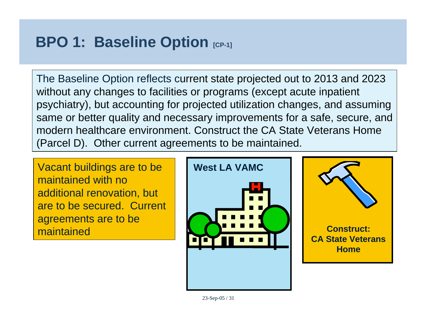### **BPO 1: Baseline Option [CP-1]**

The Baseline Option reflects current state projected out to 2013 and 2023 without any changes to facilities or programs (except acute inpatient psychiatry), but accounting for projected utilization changes, and assuming same or better quality and necessary improvements for a safe, secure, and modern healthcare environment. Construct the CA State Veterans Home (Parcel D). Other current agreements to be maintained.

Vacant buildings are to be maintained with no additional renovation, but are to be secured. Current agreements are to be maintained



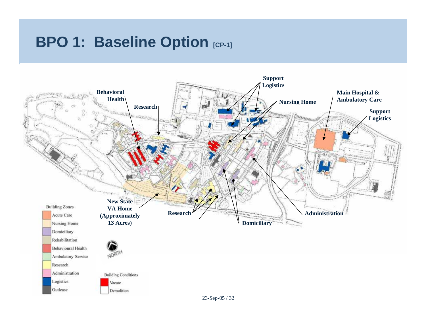#### **BPO 1: Baseline Option [CP-1]**

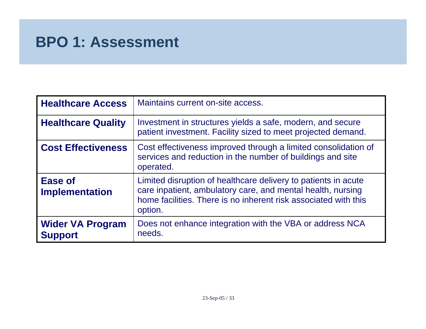| <b>Healthcare Access</b>                  | Maintains current on-site access.                                                                                                                                                                           |
|-------------------------------------------|-------------------------------------------------------------------------------------------------------------------------------------------------------------------------------------------------------------|
| <b>Healthcare Quality</b>                 | Investment in structures yields a safe, modern, and secure<br>patient investment. Facility sized to meet projected demand.                                                                                  |
| <b>Cost Effectiveness</b>                 | Cost effectiveness improved through a limited consolidation of<br>services and reduction in the number of buildings and site<br>operated.                                                                   |
| <b>Ease of</b><br><b>Implementation</b>   | Limited disruption of healthcare delivery to patients in acute<br>care inpatient, ambulatory care, and mental health, nursing<br>home facilities. There is no inherent risk associated with this<br>option. |
| <b>Wider VA Program</b><br><b>Support</b> | Does not enhance integration with the VBA or address NCA<br>needs.                                                                                                                                          |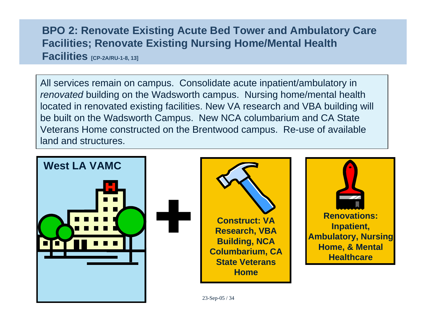#### **BPO 2: Renovate Existing Acute Bed Tower and Ambulatory Care Facilities; Renovate Existing Nursing Home/Mental Health Facilities [CP-2A/RU-1-8, 13]**

All services remain on campus. Consolidate acute inpatient/ambulatory in *renovated* building on the Wadsworth campus. Nursing home/mental health located in renovated existing facilities. New VA research and VBA building will be built on the Wadsworth Campus. New NCA columbarium and CA State Veterans Home constructed on the Brentwood campus. Re-use of available land and structures.

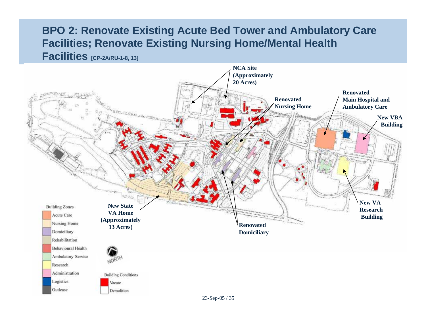#### **BPO 2: Renovate Existing Acute Bed Tower and Ambulatory Care Facilities; Renovate Existing Nursing Home/Mental Health Facilities [CP-2A/RU-1-8, 13]**

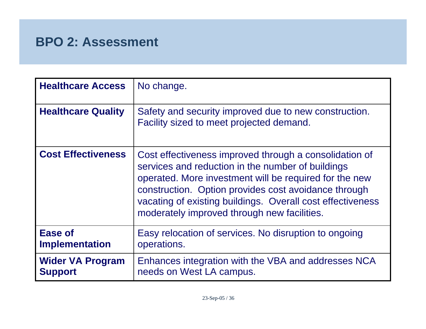| <b>Healthcare Access</b>                  | No change.                                                                                                                                                                                                                                                                                                                                 |
|-------------------------------------------|--------------------------------------------------------------------------------------------------------------------------------------------------------------------------------------------------------------------------------------------------------------------------------------------------------------------------------------------|
| <b>Healthcare Quality</b>                 | Safety and security improved due to new construction.<br>Facility sized to meet projected demand.                                                                                                                                                                                                                                          |
| <b>Cost Effectiveness</b>                 | Cost effectiveness improved through a consolidation of<br>services and reduction in the number of buildings<br>operated. More investment will be required for the new<br>construction. Option provides cost avoidance through<br>vacating of existing buildings. Overall cost effectiveness<br>moderately improved through new facilities. |
| <b>Ease of</b><br><b>Implementation</b>   | Easy relocation of services. No disruption to ongoing<br>operations.                                                                                                                                                                                                                                                                       |
| <b>Wider VA Program</b><br><b>Support</b> | Enhances integration with the VBA and addresses NCA<br>needs on West LA campus.                                                                                                                                                                                                                                                            |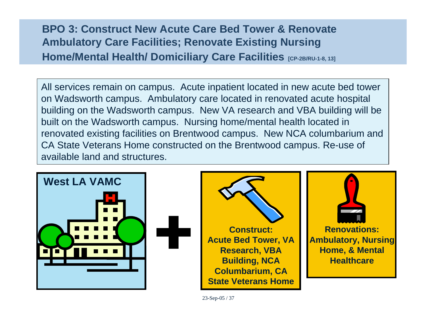#### **BPO 3: Construct New Acute Care Bed Tower & Renovate Ambulatory Care Facilities; Renovate Existing Nursing Home/Mental Health/ Domiciliary Care Facilities [CP-2B/RU-1-8, 13]**

All services remain on campus. Acute inpatient located in new acute bed tower on Wadsworth campus. Ambulatory care located in renovated acute hospital building on the Wadsworth campus. New VA research and VBA building will be built on the Wadsworth campus. Nursing home/mental health located in renovated existing facilities on Brentwood campus. New NCA columbarium and CA State Veterans Home constructed on the Brentwood campus. Re-use of available land and structures.

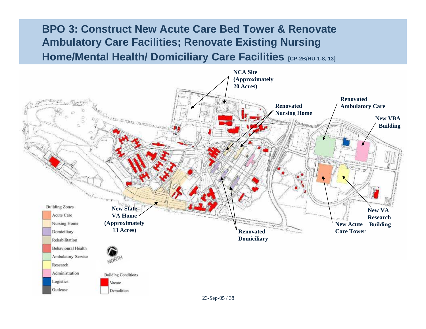#### **BPO 3: Construct New Acute Care Bed Tower & Renovate Ambulatory Care Facilities; Renovate Existing Nursing Home/Mental Health/ Domiciliary Care Facilities [CP-2B/RU-1-8, 13]**

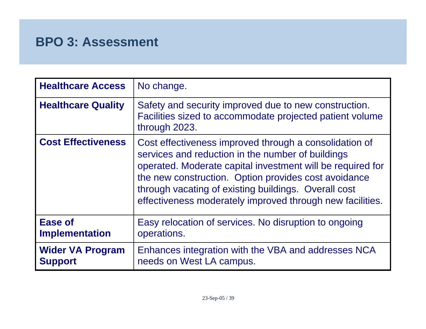| <b>Healthcare Access</b>                  | No change.                                                                                                                                                                                                                                                                                                                                             |
|-------------------------------------------|--------------------------------------------------------------------------------------------------------------------------------------------------------------------------------------------------------------------------------------------------------------------------------------------------------------------------------------------------------|
| <b>Healthcare Quality</b>                 | Safety and security improved due to new construction.<br>Facilities sized to accommodate projected patient volume<br>through 2023.                                                                                                                                                                                                                     |
| <b>Cost Effectiveness</b>                 | Cost effectiveness improved through a consolidation of<br>services and reduction in the number of buildings<br>operated. Moderate capital investment will be required for<br>the new construction. Option provides cost avoidance<br>through vacating of existing buildings. Overall cost<br>effectiveness moderately improved through new facilities. |
| <b>Ease of</b><br><b>Implementation</b>   | Easy relocation of services. No disruption to ongoing<br>operations.                                                                                                                                                                                                                                                                                   |
| <b>Wider VA Program</b><br><b>Support</b> | Enhances integration with the VBA and addresses NCA<br>needs on West LA campus.                                                                                                                                                                                                                                                                        |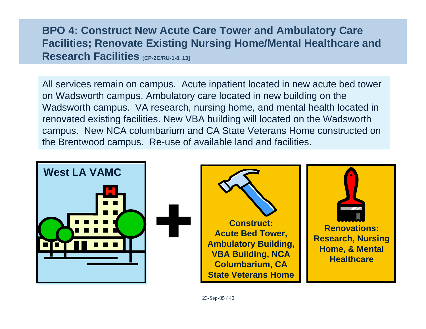#### **BPO 4: Construct New Acute Care Tower and Ambulatory Care Facilities; Renovate Existing Nursing Home/Mental Healthcare and Research Facilities [CP-2C/RU-1-8, 13]**

All services remain on campus. Acute inpatient located in new acute bed tower on Wadsworth campus. Ambulatory care located in new building on the Wadsworth campus. VA research, nursing home, and mental health located in renovated existing facilities. New VBA building will located on the Wadsworth campus. New NCA columbarium and CA State Veterans Home constructed on the Brentwood campus. Re-use of available land and facilities.

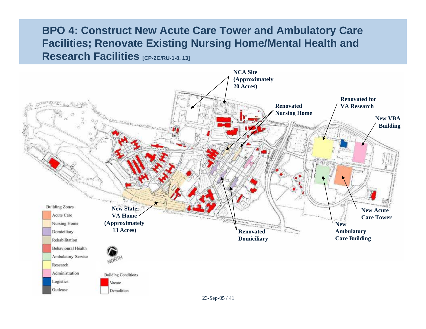#### **BPO 4: Construct New Acute Care Tower and Ambulatory Care Facilities; Renovate Existing Nursing Home/Mental Health and Research Facilities [CP-2C/RU-1-8, 13]**

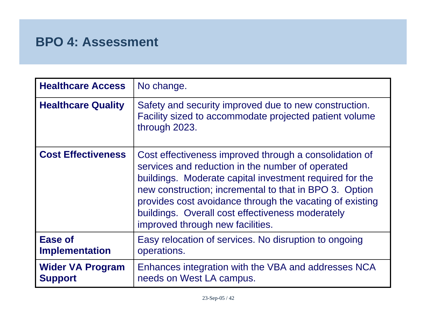| <b>Healthcare Access</b>                  | No change.                                                                                                                                                                                                                                                                                                                                                                          |
|-------------------------------------------|-------------------------------------------------------------------------------------------------------------------------------------------------------------------------------------------------------------------------------------------------------------------------------------------------------------------------------------------------------------------------------------|
| <b>Healthcare Quality</b>                 | Safety and security improved due to new construction.<br>Facility sized to accommodate projected patient volume<br>through 2023.                                                                                                                                                                                                                                                    |
| <b>Cost Effectiveness</b>                 | Cost effectiveness improved through a consolidation of<br>services and reduction in the number of operated<br>buildings. Moderate capital investment required for the<br>new construction; incremental to that in BPO 3. Option<br>provides cost avoidance through the vacating of existing<br>buildings. Overall cost effectiveness moderately<br>improved through new facilities. |
| <b>Ease of</b><br><b>Implementation</b>   | Easy relocation of services. No disruption to ongoing<br>operations.                                                                                                                                                                                                                                                                                                                |
| <b>Wider VA Program</b><br><b>Support</b> | Enhances integration with the VBA and addresses NCA<br>needs on West LA campus.                                                                                                                                                                                                                                                                                                     |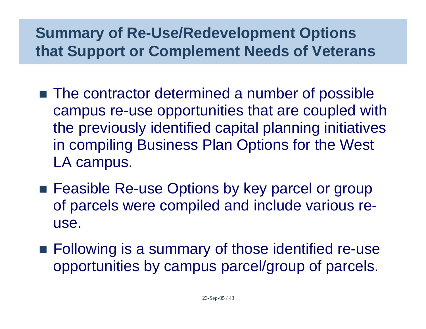### **Summary of Re-Use/Redevelopment Options that Support or Complement Needs of Veterans**

- The contractor determined a number of possible campus re-use opportunities that are coupled with the previously identified capital planning initiatives in compiling Business Plan Options for the West LA campus.
- Feasible Re-use Options by key parcel or group of parcels were compiled and include various reuse.
- **Following is a summary of those identified re-use** opportunities by campus parcel/group of parcels.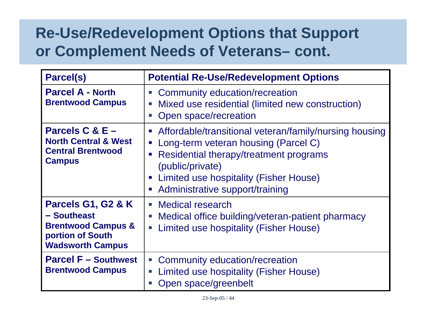#### **Re-Use/Redevelopment Options that Support or Complement Needs of Veterans– cont.**

| <b>Parcel(s)</b>                                                                                                  | <b>Potential Re-Use/Redevelopment Options</b>                                                                                                                                                                                                                                                                                  |
|-------------------------------------------------------------------------------------------------------------------|--------------------------------------------------------------------------------------------------------------------------------------------------------------------------------------------------------------------------------------------------------------------------------------------------------------------------------|
| <b>Parcel A - North</b><br><b>Brentwood Campus</b>                                                                | Community education/recreation<br>$\Box$<br>Mixed use residential (limited new construction)<br>Open space/recreation                                                                                                                                                                                                          |
| Parcels $C & E -$<br><b>North Central &amp; West</b><br><b>Central Brentwood</b><br><b>Campus</b>                 | Affordable/transitional veteran/family/nursing housing<br>$\blacksquare$<br>Long-term veteran housing (Parcel C)<br><b>C</b><br>Residential therapy/treatment programs<br><b>C</b><br>(public/private)<br><b>Limited use hospitality (Fisher House)</b><br>$\blacksquare$<br>Administrative support/training<br>$\blacksquare$ |
| Parcels G1, G2 & K<br>- Southeast<br><b>Brentwood Campus &amp;</b><br>portion of South<br><b>Wadsworth Campus</b> | Medical research<br>$\mathcal{C}$<br>Medical office building/veteran-patient pharmacy<br>Limited use hospitality (Fisher House)<br>$\overline{\phantom{a}}$                                                                                                                                                                    |
| <b>Parcel F - Southwest</b><br><b>Brentwood Campus</b>                                                            | Community education/recreation<br>$\mathcal{L}_{\mathcal{A}}$<br>Limited use hospitality (Fisher House)<br>$\mathcal{L}_{\mathcal{A}}$<br>Open space/greenbelt                                                                                                                                                                 |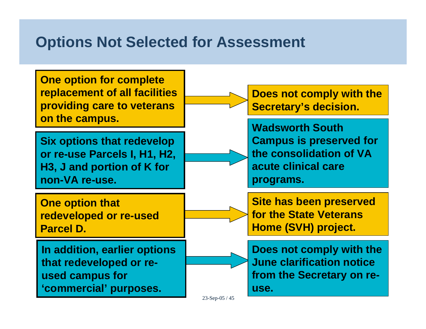### **Options Not Selected for Assessment**

**One option for complete replacement of all facilities providing care to veterans on the campus.**

**Six options that redevelop or re-use Parcels I, H1, H2, H3, J and portion of K for non-VA re-use.**

**One option that redeveloped or re-used Parcel D.**

**In addition, earlier options that redeveloped or reused campus for 'commercial' purposes.**



**Does not comply with the Secretary's decision.**

**Wadsworth South Campus is preserved for the consolidation of VA acute clinical care programs.**

**Site has been preserved for the State Veterans Home (SVH) project.**

**Does not comply with the June clarification notice from the Secretary on reuse.**

23-Sep-05 / 45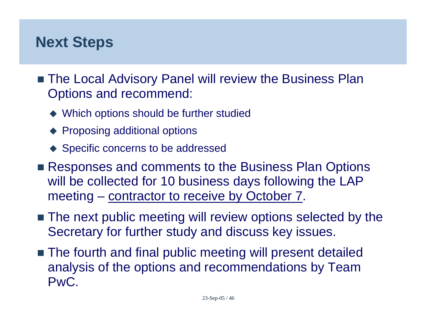#### **Next Steps**

- The Local Advisory Panel will review the Business Plan Options and recommend:
	- ◆ Which options should be further studied
	- ◆ Proposing additional options
	- ◆ Specific concerns to be addressed
- **Responses and comments to the Business Plan Options** will be collected for 10 business days following the LAP meeting – contractor to receive by October 7.
- $\blacksquare$  The next public meeting will review options selected by the Secretary for further study and discuss key issues.
- The fourth and final public meeting will present detailed analysis of the options and recommendations by Team PwC.